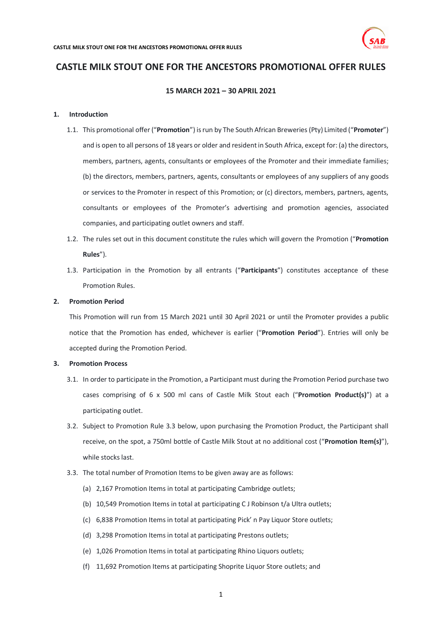

# **CASTLE MILK STOUT ONE FOR THE ANCESTORS PROMOTIONAL OFFER RULES**

## **15 MARCH 2021 – 30 APRIL 2021**

### **1. Introduction**

- 1.1. This promotional offer ("**Promotion**") is run by The South African Breweries (Pty) Limited ("**Promoter**") and is open to all persons of 18 years or older and resident in South Africa, except for: (a) the directors, members, partners, agents, consultants or employees of the Promoter and their immediate families; (b) the directors, members, partners, agents, consultants or employees of any suppliers of any goods or services to the Promoter in respect of this Promotion; or (c) directors, members, partners, agents, consultants or employees of the Promoter's advertising and promotion agencies, associated companies, and participating outlet owners and staff.
- 1.2. The rules set out in this document constitute the rules which will govern the Promotion ("**Promotion Rules**").
- 1.3. Participation in the Promotion by all entrants ("**Participants**") constitutes acceptance of these Promotion Rules.

#### **2. Promotion Period**

This Promotion will run from 15 March 2021 until 30 April 2021 or until the Promoter provides a public notice that the Promotion has ended, whichever is earlier ("**Promotion Period**"). Entries will only be accepted during the Promotion Period.

#### **3. Promotion Process**

- 3.1. In order to participate in the Promotion, a Participant must during the Promotion Period purchase two cases comprising of 6 x 500 ml cans of Castle Milk Stout each ("**Promotion Product(s)**") at a participating outlet.
- 3.2. Subject to Promotion Rule [3.3](#page-0-0) below, upon purchasing the Promotion Product, the Participant shall receive, on the spot, a 750ml bottle of Castle Milk Stout at no additional cost ("**Promotion Item(s)**"), while stocks last.
- <span id="page-0-0"></span>3.3. The total number of Promotion Items to be given away are as follows:
	- (a) 2,167 Promotion Items in total at participating Cambridge outlets;
	- (b) 10,549 Promotion Items in total at participating C J Robinson t/a Ultra outlets;
	- (c) 6,838 Promotion Items in total at participating Pick' n Pay Liquor Store outlets;
	- (d) 3,298 Promotion Items in total at participating Prestons outlets;
	- (e) 1,026 Promotion Items in total at participating Rhino Liquors outlets;
	- (f) 11,692 Promotion Items at participating Shoprite Liquor Store outlets; and